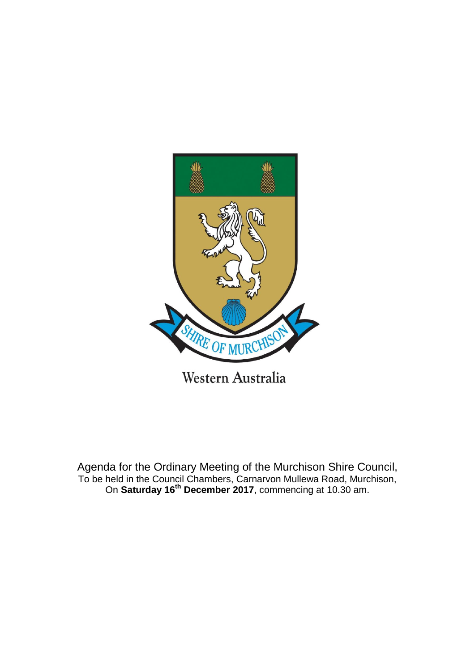

Agenda for the Ordinary Meeting of the Murchison Shire Council, To be held in the Council Chambers, Carnarvon Mullewa Road, Murchison, On **Saturday 16th December 2017**, commencing at 10.30 am.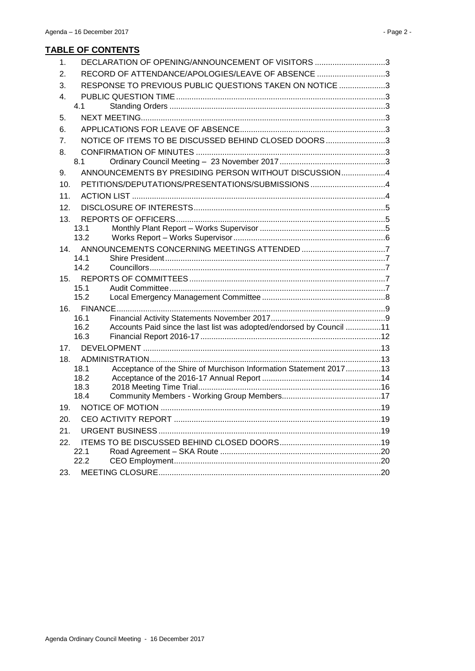| 1.  | DECLARATION OF OPENING/ANNOUNCEMENT OF VISITORS 3                                    |  |
|-----|--------------------------------------------------------------------------------------|--|
| 2.  | RECORD OF ATTENDANCE/APOLOGIES/LEAVE OF ABSENCE 3                                    |  |
| 3.  | RESPONSE TO PREVIOUS PUBLIC QUESTIONS TAKEN ON NOTICE 3                              |  |
| 4.  |                                                                                      |  |
|     | 4.1                                                                                  |  |
| 5.  |                                                                                      |  |
| 6.  |                                                                                      |  |
| 7.  | NOTICE OF ITEMS TO BE DISCUSSED BEHIND CLOSED DOORS3                                 |  |
| 8.  |                                                                                      |  |
|     | 8.1                                                                                  |  |
| 9.  | ANNOUNCEMENTS BY PRESIDING PERSON WITHOUT DISCUSSION4                                |  |
| 10. | PETITIONS/DEPUTATIONS/PRESENTATIONS/SUBMISSIONS 4                                    |  |
| 11. |                                                                                      |  |
| 12. |                                                                                      |  |
| 13. |                                                                                      |  |
|     | 13.1                                                                                 |  |
|     | 13.2                                                                                 |  |
| 14. |                                                                                      |  |
|     | 14.1<br>14.2                                                                         |  |
| 15. |                                                                                      |  |
|     | 15.1                                                                                 |  |
|     | 15.2                                                                                 |  |
| 16. |                                                                                      |  |
|     | 16.1                                                                                 |  |
|     | Accounts Paid since the last list was adopted/endorsed by Council 11<br>16.2<br>16.3 |  |
|     |                                                                                      |  |
| 17. |                                                                                      |  |
| 18. | Acceptance of the Shire of Murchison Information Statement 201713<br>18.1            |  |
|     | 18.2                                                                                 |  |
|     | 18.3                                                                                 |  |
|     | 18.4                                                                                 |  |
| 19. |                                                                                      |  |
| 20. |                                                                                      |  |
| 21. |                                                                                      |  |
| 22. |                                                                                      |  |
|     | 22.1                                                                                 |  |
|     | 22.2                                                                                 |  |
| 23. |                                                                                      |  |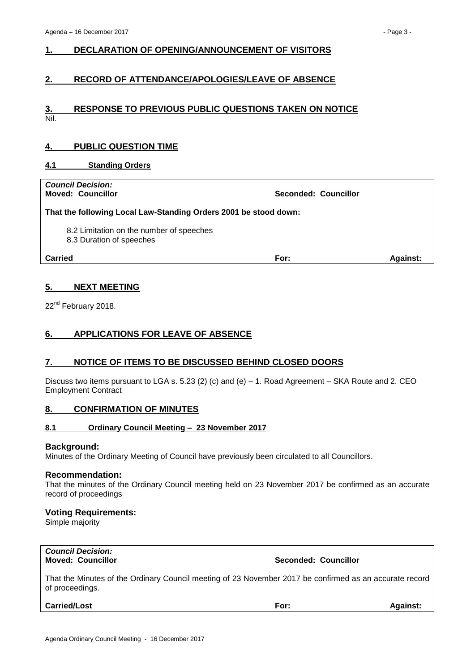## <span id="page-2-0"></span>**1. DECLARATION OF OPENING/ANNOUNCEMENT OF VISITORS**

## <span id="page-2-1"></span>**2. RECORD OF ATTENDANCE/APOLOGIES/LEAVE OF ABSENCE**

#### <span id="page-2-2"></span>**3. RESPONSE TO PREVIOUS PUBLIC QUESTIONS TAKEN ON NOTICE** Nil.

## <span id="page-2-3"></span>**4. PUBLIC QUESTION TIME**

#### <span id="page-2-4"></span>**4.1 Standing Orders**

| <b>Council Decision:</b><br><b>Moved: Councillor</b>                 | Seconded: Councillor |                 |  |  |  |
|----------------------------------------------------------------------|----------------------|-----------------|--|--|--|
| That the following Local Law-Standing Orders 2001 be stood down:     |                      |                 |  |  |  |
| 8.2 Limitation on the number of speeches<br>8.3 Duration of speeches |                      |                 |  |  |  |
| Carried                                                              | For:                 | <b>Against:</b> |  |  |  |

## <span id="page-2-5"></span>**5. NEXT MEETING**

22<sup>nd</sup> February 2018.

## <span id="page-2-6"></span>**6. APPLICATIONS FOR LEAVE OF ABSENCE**

## <span id="page-2-7"></span>**7. NOTICE OF ITEMS TO BE DISCUSSED BEHIND CLOSED DOORS**

Discuss two items pursuant to LGA s. 5.23 (2) (c) and (e) – 1. Road Agreement – SKA Route and 2. CEO Employment Contract

## <span id="page-2-8"></span>**8. CONFIRMATION OF MINUTES**

## <span id="page-2-9"></span>**8.1 Ordinary Council Meeting – 23 November 2017**

#### **Background:**

Minutes of the Ordinary Meeting of Council have previously been circulated to all Councillors.

#### **Recommendation:**

That the minutes of the Ordinary Council meeting held on 23 November 2017 be confirmed as an accurate record of proceedings

#### **Voting Requirements:**

Simple majority

# *Council Decision:*

**Moved: Councillor Seconded: Councillor**

That the Minutes of the Ordinary Council meeting of 23 November 2017 be confirmed as an accurate record of proceedings.

**Carried/Lost For: Against:**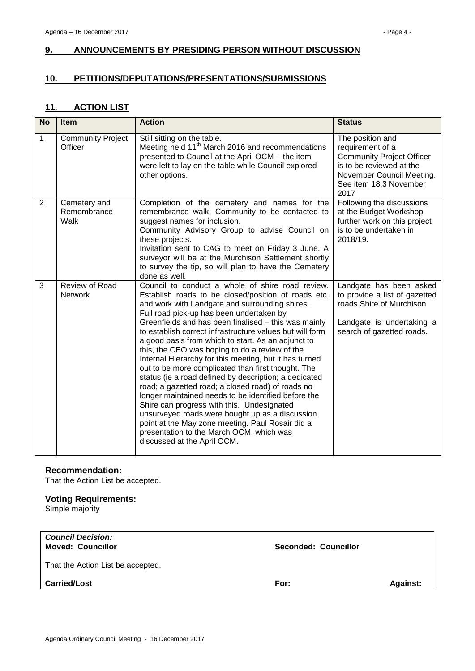# <span id="page-3-0"></span>**9. ANNOUNCEMENTS BY PRESIDING PERSON WITHOUT DISCUSSION**

## <span id="page-3-1"></span>**10. PETITIONS/DEPUTATIONS/PRESENTATIONS/SUBMISSIONS**

## <span id="page-3-2"></span>**11. ACTION LIST**

| <b>No</b>      | <b>Item</b>                         | <b>Action</b>                                                                                                                                                                                                                                                                                                                                                                                                                                                                                                                                                                                                                                                                                                                                                                                                                                                                                                                                          | <b>Status</b>                                                                                                                                                       |
|----------------|-------------------------------------|--------------------------------------------------------------------------------------------------------------------------------------------------------------------------------------------------------------------------------------------------------------------------------------------------------------------------------------------------------------------------------------------------------------------------------------------------------------------------------------------------------------------------------------------------------------------------------------------------------------------------------------------------------------------------------------------------------------------------------------------------------------------------------------------------------------------------------------------------------------------------------------------------------------------------------------------------------|---------------------------------------------------------------------------------------------------------------------------------------------------------------------|
| 1              | <b>Community Project</b><br>Officer | Still sitting on the table.<br>Meeting held 11 <sup>th</sup> March 2016 and recommendations<br>presented to Council at the April OCM - the item<br>were left to lay on the table while Council explored<br>other options.                                                                                                                                                                                                                                                                                                                                                                                                                                                                                                                                                                                                                                                                                                                              | The position and<br>requirement of a<br><b>Community Project Officer</b><br>is to be reviewed at the<br>November Council Meeting.<br>See item 18.3 November<br>2017 |
| $\overline{2}$ | Cemetery and<br>Remembrance<br>Walk | Completion of the cemetery and names for the<br>remembrance walk. Community to be contacted to<br>suggest names for inclusion.<br>Community Advisory Group to advise Council on<br>these projects.<br>Invitation sent to CAG to meet on Friday 3 June. A<br>surveyor will be at the Murchison Settlement shortly<br>to survey the tip, so will plan to have the Cemetery<br>done as well.                                                                                                                                                                                                                                                                                                                                                                                                                                                                                                                                                              | Following the discussions<br>at the Budget Workshop<br>further work on this project<br>is to be undertaken in<br>2018/19.                                           |
| 3              | Review of Road<br><b>Network</b>    | Council to conduct a whole of shire road review.<br>Establish roads to be closed/position of roads etc.<br>and work with Landgate and surrounding shires.<br>Full road pick-up has been undertaken by<br>Greenfields and has been finalised - this was mainly<br>to establish correct infrastructure values but will form<br>a good basis from which to start. As an adjunct to<br>this, the CEO was hoping to do a review of the<br>Internal Hierarchy for this meeting, but it has turned<br>out to be more complicated than first thought. The<br>status (ie a road defined by description; a dedicated<br>road; a gazetted road; a closed road) of roads no<br>longer maintained needs to be identified before the<br>Shire can progress with this. Undesignated<br>unsurveyed roads were bought up as a discussion<br>point at the May zone meeting. Paul Rosair did a<br>presentation to the March OCM, which was<br>discussed at the April OCM. | Landgate has been asked<br>to provide a list of gazetted<br>roads Shire of Murchison<br>Landgate is undertaking a<br>search of gazetted roads.                      |

## **Recommendation:**

That the Action List be accepted.

## **Voting Requirements:**

Simple majority

| <b>Against:</b> |
|-----------------|
|                 |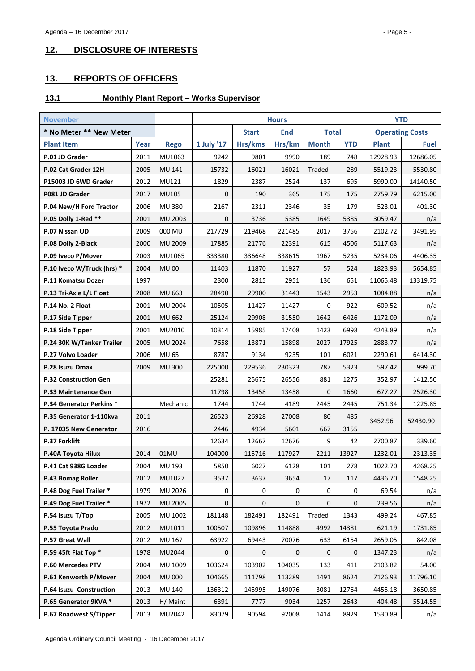# <span id="page-4-0"></span>**12. DISCLOSURE OF INTERESTS**

# <span id="page-4-1"></span>**13. REPORTS OF OFFICERS**

## <span id="page-4-2"></span>**13.1 Monthly Plant Report – Works Supervisor**

| <b>November</b>              |      | <b>Hours</b>   |                |              |            |              | <b>YTD</b>  |              |                        |  |
|------------------------------|------|----------------|----------------|--------------|------------|--------------|-------------|--------------|------------------------|--|
| * No Meter ** New Meter      |      |                |                | <b>Start</b> | <b>End</b> | <b>Total</b> |             |              | <b>Operating Costs</b> |  |
| <b>Plant Item</b>            | Year | <b>Rego</b>    | 1 July '17     | Hrs/kms      | Hrs/km     | <b>Month</b> | <b>YTD</b>  | <b>Plant</b> | <b>Fuel</b>            |  |
| P.01 JD Grader               | 2011 | MU1063         | 9242           | 9801         | 9990       | 189          | 748         | 12928.93     | 12686.05               |  |
| P.02 Cat Grader 12H          | 2005 | MU 141         | 15732          | 16021        | 16021      | Traded       | 289         | 5519.23      | 5530.80                |  |
| P15003 JD 6WD Grader         | 2012 | MU121          | 1829           | 2387         | 2524       | 137          | 695         | 5990.00      | 14140.50               |  |
| P081 JD Grader               | 2017 | <b>MU105</b>   | $\mathbf 0$    | 190          | 365        | 175          | 175         | 2759.79      | 6215.00                |  |
| P.04 New/H Ford Tractor      | 2006 | <b>MU 380</b>  | 2167           | 2311         | 2346       | 35           | 179         | 523.01       | 401.30                 |  |
| P.05 Dolly 1-Red **          | 2001 | MU 2003        | 0              | 3736         | 5385       | 1649         | 5385        | 3059.47      | n/a                    |  |
| P.07 Nissan UD               | 2009 | 000 MU         | 217729         | 219468       | 221485     | 2017         | 3756        | 2102.72      | 3491.95                |  |
| P.08 Dolly 2-Black           | 2000 | MU 2009        | 17885          | 21776        | 22391      | 615          | 4506        | 5117.63      | n/a                    |  |
| P.09 Iveco P/Mover           | 2003 | MU1065         | 333380         | 336648       | 338615     | 1967         | 5235        | 5234.06      | 4406.35                |  |
| P.10 Iveco W/Truck (hrs) *   | 2004 | <b>MU00</b>    | 11403          | 11870        | 11927      | 57           | 524         | 1823.93      | 5654.85                |  |
| P.11 Komatsu Dozer           | 1997 |                | 2300           | 2815         | 2951       | 136          | 651         | 11065.48     | 13319.75               |  |
| P.13 Tri-Axle L/L Float      | 2008 | MU 663         | 28490          | 29900        | 31443      | 1543         | 2953        | 1084.88      | n/a                    |  |
| P.14 No. 2 Float             | 2001 | MU 2004        | 10505          | 11427        | 11427      | 0            | 922         | 609.52       | n/a                    |  |
| P.17 Side Tipper             | 2001 | <b>MU 662</b>  | 25124          | 29908        | 31550      | 1642         | 6426        | 1172.09      | n/a                    |  |
| P.18 Side Tipper             | 2001 | MU2010         | 10314          | 15985        | 17408      | 1423         | 6998        | 4243.89      | n/a                    |  |
| P.24 30K W/Tanker Trailer    | 2005 | <b>MU 2024</b> | 7658           | 13871        | 15898      | 2027         | 17925       | 2883.77      | n/a                    |  |
| P.27 Volvo Loader            | 2006 | <b>MU 65</b>   | 8787           | 9134         | 9235       | 101          | 6021        | 2290.61      | 6414.30                |  |
| P.28 Isuzu Dmax              | 2009 | <b>MU 300</b>  | 225000         | 229536       | 230323     | 787          | 5323        | 597.42       | 999.70                 |  |
| <b>P.32 Construction Gen</b> |      |                | 25281          | 25675        | 26556      | 881          | 1275        | 352.97       | 1412.50                |  |
| P.33 Maintenance Gen         |      |                | 11798          | 13458        | 13458      | $\mathbf{0}$ | 1660        | 677.27       | 2526.30                |  |
| P.34 Generator Perkins *     |      | Mechanic       | 1744           | 1744         | 4189       | 2445         | 2445        | 751.34       | 1225.85                |  |
| P.35 Generator 1-110kva      | 2011 |                | 26523<br>26928 |              | 27008      | 80           | 485         | 3452.96      | 52430.90               |  |
| P. 17035 New Generator       | 2016 |                | 2446           | 4934         | 5601       | 667          | 3155        |              |                        |  |
| <b>P.37 Forklift</b>         |      |                | 12634          | 12667        | 12676      | 9            | 42          | 2700.87      | 339.60                 |  |
| P.40A Toyota Hilux           | 2014 | 01MU           | 104000         | 115716       | 117927     | 2211         | 13927       | 1232.01      | 2313.35                |  |
| P.41 Cat 938G Loader         | 2004 | MU 193         | 5850           | 6027         | 6128       | 101          | 278         | 1022.70      | 4268.25                |  |
| P.43 Bomag Roller            | 2012 | MU1027         | 3537           | 3637         | 3654       | 17           | 117         | 4436.70      | 1548.25                |  |
| P.48 Dog Fuel Trailer *      | 1979 | MU 2026        | 0              | 0            | 0          | 0            | 0           | 69.54        | n/a                    |  |
| P.49 Dog Fuel Trailer *      | 1972 | MU 2005        | 0              | 0            | 0          | $\mathbf 0$  | $\pmb{0}$   | 239.56       | n/a                    |  |
| P.54 Isuzu T/Top             | 2005 | MU 1002        | 181148         | 182491       | 182491     | Traded       | 1343        | 499.24       | 467.85                 |  |
| P.55 Toyota Prado            | 2012 | MU1011         | 100507         | 109896       | 114888     | 4992         | 14381       | 621.19       | 1731.85                |  |
| P.57 Great Wall              | 2012 | MU 167         | 63922          | 69443        | 70076      | 633          | 6154        | 2659.05      | 842.08                 |  |
| P.59 45ft Flat Top *         | 1978 | MU2044         | $\mathbf 0$    | 0            | 0          | 0            | $\mathbf 0$ | 1347.23      | n/a                    |  |
| P.60 Mercedes PTV            | 2004 | MU 1009        | 103624         | 103902       | 104035     | 133          | 411         | 2103.82      | 54.00                  |  |
| P.61 Kenworth P/Mover        | 2004 | <b>MU 000</b>  | 104665         | 111798       | 113289     | 1491         | 8624        | 7126.93      | 11796.10               |  |
| P.64 Isuzu Construction      | 2013 | MU 140         | 136312         | 145995       | 149076     | 3081         | 12764       | 4455.18      | 3650.85                |  |
| P.65 Generator 9KVA *        | 2013 | H/ Maint       | 6391           | 7777         | 9034       | 1257         | 2643        | 404.48       | 5514.55                |  |
| P.67 Roadwest S/Tipper       | 2013 | MU2042         | 83079          | 90594        | 92008      | 1414         | 8929        | 1530.89      | n/a                    |  |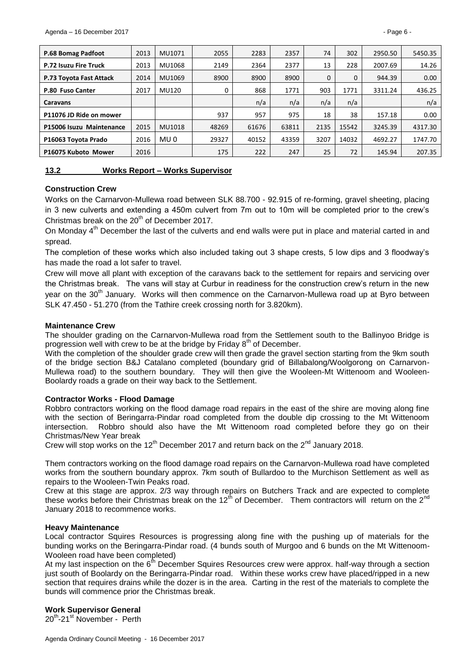| P.68 Bomag Padfoot           | 2013 | MU1071 | 2055  | 2283  | 2357  | 74       | 302      | 2950.50 | 5450.35 |
|------------------------------|------|--------|-------|-------|-------|----------|----------|---------|---------|
| <b>P.72 Isuzu Fire Truck</b> | 2013 | MU1068 | 2149  | 2364  | 2377  | 13       | 228      | 2007.69 | 14.26   |
| P.73 Toyota Fast Attack      | 2014 | MU1069 | 8900  | 8900  | 8900  | $\Omega$ | $\Omega$ | 944.39  | 0.00    |
| P.80 Fuso Canter             | 2017 | MU120  | 0     | 868   | 1771  | 903      | 1771     | 3311.24 | 436.25  |
| <b>Caravans</b>              |      |        |       | n/a   | n/a   | n/a      | n/a      |         | n/a     |
| P11076 JD Ride on mower      |      |        | 937   | 957   | 975   | 18       | 38       | 157.18  | 0.00    |
| P15006 Isuzu Maintenance     | 2015 | MU1018 | 48269 | 61676 | 63811 | 2135     | 15542    | 3245.39 | 4317.30 |
| P16063 Toyota Prado          | 2016 | MU 0   | 29327 | 40152 | 43359 | 3207     | 14032    | 4692.27 | 1747.70 |
| P16075 Kuboto Mower          | 2016 |        | 175   | 222   | 247   | 25       | 72       | 145.94  | 207.35  |

<span id="page-5-0"></span>

| 13.2 | <b>Works Report - Works Supervisor</b> |  |
|------|----------------------------------------|--|
|      |                                        |  |

## **Construction Crew**

Works on the Carnarvon-Mullewa road between SLK 88.700 - 92.915 of re-forming, gravel sheeting, placing in 3 new culverts and extending a 450m culvert from 7m out to 10m will be completed prior to the crew's Christmas break on the  $20<sup>th</sup>$  of December 2017.

On Monday 4<sup>th</sup> December the last of the culverts and end walls were put in place and material carted in and spread.

The completion of these works which also included taking out 3 shape crests, 5 low dips and 3 floodway's has made the road a lot safer to travel.

Crew will move all plant with exception of the caravans back to the settlement for repairs and servicing over the Christmas break. The vans will stay at Curbur in readiness for the construction crew's return in the new year on the 30<sup>th</sup> January. Works will then commence on the Carnaryon-Mullewa road up at Byro between SLK 47.450 - 51.270 (from the Tathire creek crossing north for 3.820km).

#### **Maintenance Crew**

The shoulder grading on the Carnarvon-Mullewa road from the Settlement south to the Ballinyoo Bridge is progression well with crew to be at the bridge by Friday 8<sup>th</sup> of December.

With the completion of the shoulder grade crew will then grade the gravel section starting from the 9km south of the bridge section B&J Catalano completed (boundary grid of Billabalong/Woolgorong on Carnarvon-Mullewa road) to the southern boundary. They will then give the Wooleen-Mt Wittenoom and Wooleen-Boolardy roads a grade on their way back to the Settlement.

#### **Contractor Works - Flood Damage**

Robbro contractors working on the flood damage road repairs in the east of the shire are moving along fine with the section of Beringarra-Pindar road completed from the double dip crossing to the Mt Wittenoom intersection. Robbro should also have the Mt Wittenoom road completed before they go on their Christmas/New Year break

Crew will stop works on the  $12<sup>th</sup>$  December 2017 and return back on the  $2<sup>nd</sup>$  January 2018.

Them contractors working on the flood damage road repairs on the Carnarvon-Mullewa road have completed works from the southern boundary approx. 7km south of Bullardoo to the Murchison Settlement as well as repairs to the Wooleen-Twin Peaks road.

Crew at this stage are approx. 2/3 way through repairs on Butchers Track and are expected to complete these works before their Christmas break on the  $12<sup>th</sup>$  of December. Them contractors will return on the  $2<sup>nd</sup>$ January 2018 to recommence works.

#### **Heavy Maintenance**

Local contractor Squires Resources is progressing along fine with the pushing up of materials for the bunding works on the Beringarra-Pindar road. (4 bunds south of Murgoo and 6 bunds on the Mt Wittenoom-Wooleen road have been completed)

At my last inspection on the 6<sup>th</sup> December Squires Resources crew were approx. half-way through a section just south of Boolardy on the Beringarra-Pindar road. Within these works crew have placed/ripped in a new section that requires drains while the dozer is in the area. Carting in the rest of the materials to complete the bunds will commence prior the Christmas break.

## **Work Supervisor General**

20<sup>th</sup>-21<sup>st</sup> November - Perth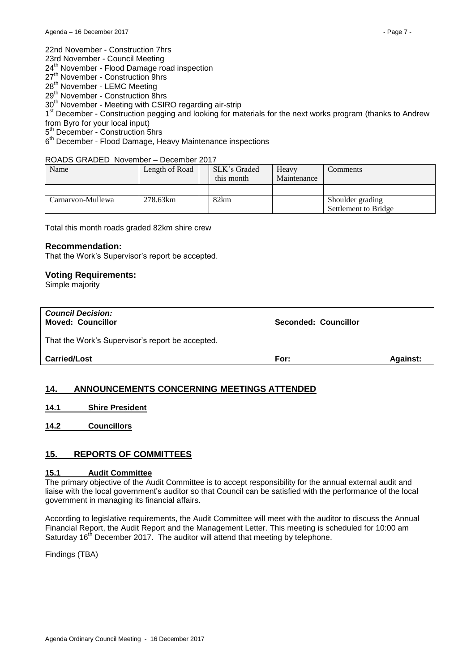23rd November - Council Meeting

24<sup>th</sup> November - Flood Damage road inspection

- 27<sup>th</sup> November Construction 9hrs
- 28<sup>th</sup> November LEMC Meeting

29<sup>th</sup> November - Construction 8hrs

30<sup>th</sup> November - Meeting with CSIRO regarding air-strip

1<sup>st</sup> December - Construction pegging and looking for materials for the next works program (thanks to Andrew from Byro for your local input)

5<sup>th</sup> December - Construction 5hrs

6<sup>th</sup> December - Flood Damage, Heavy Maintenance inspections

#### ROADS GRADED November – December 2017

| Name              | Length of Road | SLK's Graded<br>this month | Heavy<br>Maintenance | Comments             |
|-------------------|----------------|----------------------------|----------------------|----------------------|
|                   |                |                            |                      |                      |
| Carnarvon-Mullewa | 278.63km       | 82km                       |                      | Shoulder grading     |
|                   |                |                            |                      | Settlement to Bridge |

Total this month roads graded 82km shire crew

#### **Recommendation:**

That the Work's Supervisor's report be accepted.

#### **Voting Requirements:**

Simple majority

| <b>Council Decision:</b><br><b>Moved: Councillor</b> | Seconded: Councillor |                 |
|------------------------------------------------------|----------------------|-----------------|
| That the Work's Supervisor's report be accepted.     |                      |                 |
| <b>Carried/Lost</b>                                  | For:                 | <b>Against:</b> |

## <span id="page-6-0"></span>**14. ANNOUNCEMENTS CONCERNING MEETINGS ATTENDED**

<span id="page-6-1"></span>**14.1 Shire President**

<span id="page-6-2"></span>**14.2 Councillors**

## <span id="page-6-3"></span>**15. REPORTS OF COMMITTEES**

# <span id="page-6-4"></span>**15.1 Audit Committee**

The primary objective of the Audit Committee is to accept responsibility for the annual external audit and liaise with the local government's auditor so that Council can be satisfied with the performance of the local government in managing its financial affairs.

According to legislative requirements, the Audit Committee will meet with the auditor to discuss the Annual Financial Report, the Audit Report and the Management Letter. This meeting is scheduled for 10:00 am Saturday 16<sup>th</sup> December 2017. The auditor will attend that meeting by telephone.

Findings (TBA)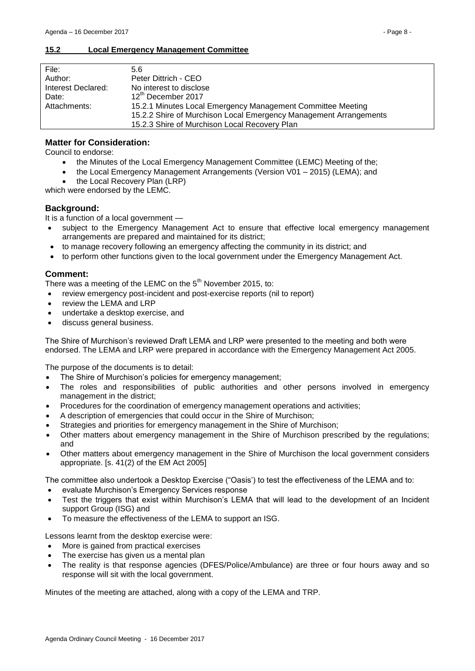<span id="page-7-0"></span>

| File:              | 5.6                                                               |
|--------------------|-------------------------------------------------------------------|
| Author:            | Peter Dittrich - CEO                                              |
| Interest Declared: | No interest to disclose                                           |
| Date:              | 12th December 2017                                                |
| Attachments:       | 15.2.1 Minutes Local Emergency Management Committee Meeting       |
|                    | 15.2.2 Shire of Murchison Local Emergency Management Arrangements |
|                    | 15.2.3 Shire of Murchison Local Recovery Plan                     |

# **Matter for Consideration:**

Council to endorse:

- the Minutes of the Local Emergency Management Committee (LEMC) Meeting of the;
- the Local Emergency Management Arrangements (Version V01 2015) (LEMA); and
- the Local Recovery Plan (LRP)

which were endorsed by the LEMC.

## **Background:**

It is a function of a local government —

- subject to the Emergency Management Act to ensure that effective local emergency management arrangements are prepared and maintained for its district;
- to manage recovery following an emergency affecting the community in its district; and
- to perform other functions given to the local government under the Emergency Management Act.

## **Comment:**

There was a meeting of the LEMC on the  $5<sup>th</sup>$  November 2015, to:

- review emergency post-incident and post-exercise reports (nil to report)
- review the LEMA and LRP
- undertake a desktop exercise, and
- discuss general business.

The Shire of Murchison's reviewed Draft LEMA and LRP were presented to the meeting and both were endorsed. The LEMA and LRP were prepared in accordance with the Emergency Management Act 2005.

The purpose of the documents is to detail:

- The Shire of Murchison's policies for emergency management;
- The roles and responsibilities of public authorities and other persons involved in emergency management in the district;
- Procedures for the coordination of emergency management operations and activities;
- A description of emergencies that could occur in the Shire of Murchison;
- Strategies and priorities for emergency management in the Shire of Murchison;
- Other matters about emergency management in the Shire of Murchison prescribed by the regulations; and
- Other matters about emergency management in the Shire of Murchison the local government considers appropriate. [s. 41(2) of the EM Act 2005]

The committee also undertook a Desktop Exercise ("Oasis') to test the effectiveness of the LEMA and to:

- evaluate Murchison's Emergency Services response
- Test the triggers that exist within Murchison's LEMA that will lead to the development of an Incident support Group (ISG) and
- To measure the effectiveness of the LEMA to support an ISG.

Lessons learnt from the desktop exercise were:

- More is gained from practical exercises
- The exercise has given us a mental plan
- The reality is that response agencies (DFES/Police/Ambulance) are three or four hours away and so response will sit with the local government.

Minutes of the meeting are attached, along with a copy of the LEMA and TRP.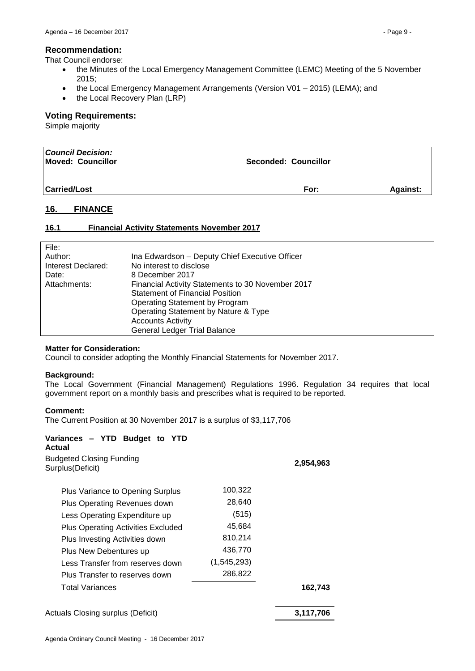#### **Recommendation:**

That Council endorse:

- the Minutes of the Local Emergency Management Committee (LEMC) Meeting of the 5 November 2015;
- the Local Emergency Management Arrangements (Version V01 2015) (LEMA); and
- the Local Recovery Plan (LRP)

#### **Voting Requirements:**

Simple majority

| <b>Council Decision:</b><br>Moved: Councillor | <b>Seconded: Councillor</b> |                 |
|-----------------------------------------------|-----------------------------|-----------------|
| <b>Carried/Lost</b>                           | For:                        | <b>Against:</b> |

# <span id="page-8-0"></span>**16. FINANCE**

## <span id="page-8-1"></span>**16.1 Financial Activity Statements November 2017**

| File:              |                                                   |
|--------------------|---------------------------------------------------|
| Author:            | Ina Edwardson - Deputy Chief Executive Officer    |
| Interest Declared: | No interest to disclose                           |
| Date:              | 8 December 2017                                   |
| Attachments:       | Financial Activity Statements to 30 November 2017 |
|                    | <b>Statement of Financial Position</b>            |
|                    | Operating Statement by Program                    |
|                    | Operating Statement by Nature & Type              |
|                    | <b>Accounts Activity</b>                          |
|                    | General Ledger Trial Balance                      |

#### **Matter for Consideration:**

Council to consider adopting the Monthly Financial Statements for November 2017.

#### **Background:**

The Local Government (Financial Management) Regulations 1996. Regulation 34 requires that local government report on a monthly basis and prescribes what is required to be reported.

#### **Comment:**

The Current Position at 30 November 2017 is a surplus of \$3,117,706

| Variances – YTD Budget to YTD<br>Actual<br>Budgeted Closing Funding<br>Surplus (Deficit) |             | 2,954,963 |
|------------------------------------------------------------------------------------------|-------------|-----------|
|                                                                                          |             |           |
| Plus Variance to Opening Surplus                                                         | 100,322     |           |
| Plus Operating Revenues down                                                             | 28,640      |           |
| Less Operating Expenditure up                                                            | (515)       |           |
| <b>Plus Operating Activities Excluded</b>                                                | 45,684      |           |
| Plus Investing Activities down                                                           | 810,214     |           |
| Plus New Debentures up                                                                   | 436,770     |           |
| Less Transfer from reserves down                                                         | (1,545,293) |           |
| Plus Transfer to reserves down                                                           | 286,822     |           |
| <b>Total Variances</b>                                                                   |             | 162,743   |
| Actuals Closing surplus (Deficit)                                                        |             | 3,117,706 |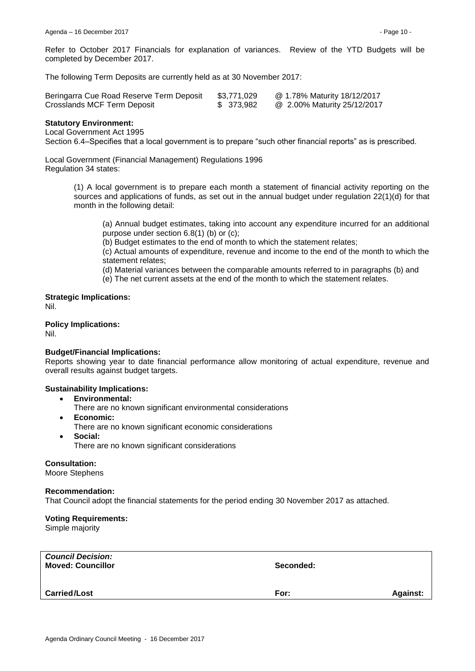Refer to October 2017 Financials for explanation of variances. Review of the YTD Budgets will be completed by December 2017.

The following Term Deposits are currently held as at 30 November 2017:

| Beringarra Cue Road Reserve Term Deposit | \$3,771,029 | @ 1.78% Maturity 18/12/2017 |
|------------------------------------------|-------------|-----------------------------|
| Crosslands MCF Term Deposit              | \$ 373,982  | @ 2.00% Maturity 25/12/2017 |

#### **Statutory Environment:**

Local Government Act 1995

Section 6.4–Specifies that a local government is to prepare "such other financial reports" as is prescribed.

Local Government (Financial Management) Regulations 1996 Regulation 34 states:

> (1) A local government is to prepare each month a statement of financial activity reporting on the sources and applications of funds, as set out in the annual budget under regulation 22(1)(d) for that month in the following detail:

(a) Annual budget estimates, taking into account any expenditure incurred for an additional purpose under section 6.8(1) (b) or (c);

(b) Budget estimates to the end of month to which the statement relates;

(c) Actual amounts of expenditure, revenue and income to the end of the month to which the statement relates;

(d) Material variances between the comparable amounts referred to in paragraphs (b) and

(e) The net current assets at the end of the month to which the statement relates.

**Strategic Implications:** Nil.

**Policy Implications:**

Nil.

#### **Budget/Financial Implications:**

Reports showing year to date financial performance allow monitoring of actual expenditure, revenue and overall results against budget targets.

#### **Sustainability Implications:**

- **Environmental:**
	- There are no known significant environmental considerations
- **Economic:**
	- There are no known significant economic considerations
- **Social:** There are no known significant considerations

#### **Consultation:**

Moore Stephens

#### **Recommendation:**

That Council adopt the financial statements for the period ending 30 November 2017 as attached.

#### **Voting Requirements:**

Simple majority

| <b>Council Decision:</b><br><b>Moved: Councillor</b> | Seconded: |                 |
|------------------------------------------------------|-----------|-----------------|
| <b>Carried/Lost</b>                                  | For:      | <b>Against:</b> |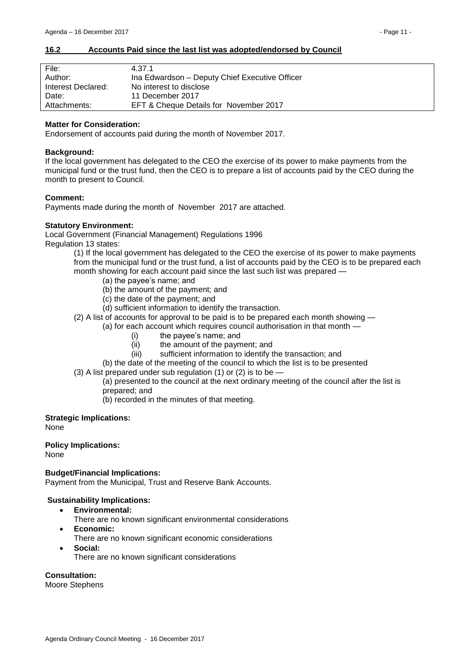#### <span id="page-10-0"></span>**16.2 Accounts Paid since the last list was adopted/endorsed by Council**

| File:              | 4.37.1                                         |
|--------------------|------------------------------------------------|
| Author:            | Ina Edwardson - Deputy Chief Executive Officer |
| Interest Declared: | No interest to disclose                        |
| Date:              | 11 December 2017                               |
| Attachments:       | EFT & Cheque Details for November 2017         |

#### **Matter for Consideration:**

Endorsement of accounts paid during the month of November 2017.

#### **Background:**

If the local government has delegated to the CEO the exercise of its power to make payments from the municipal fund or the trust fund, then the CEO is to prepare a list of accounts paid by the CEO during the month to present to Council.

#### **Comment:**

Payments made during the month of November 2017 are attached.

#### **Statutory Environment:**

Local Government (Financial Management) Regulations 1996 Regulation 13 states:

> (1) If the local government has delegated to the CEO the exercise of its power to make payments from the municipal fund or the trust fund, a list of accounts paid by the CEO is to be prepared each month showing for each account paid since the last such list was prepared —

- (a) the payee's name; and
- (b) the amount of the payment; and
- (c) the date of the payment; and
- (d) sufficient information to identify the transaction.
- (2) A list of accounts for approval to be paid is to be prepared each month showing
	- (a) for each account which requires council authorisation in that month
		- (i) the payee's name; and
		- (ii) the amount of the payment; and
		- (iii) sufficient information to identify the transaction; and
		- (b) the date of the meeting of the council to which the list is to be presented
- (3) A list prepared under sub regulation (1) or (2) is to be
	- (a) presented to the council at the next ordinary meeting of the council after the list is prepared; and
	- (b) recorded in the minutes of that meeting.
- **Strategic Implications:**

None

# **Policy Implications:**

None

#### **Budget/Financial Implications:**

Payment from the Municipal, Trust and Reserve Bank Accounts.

#### **Sustainability Implications:**

- **Environmental:**
	- There are no known significant environmental considerations
- **Economic:**
	- There are no known significant economic considerations
- **Social:** There are no known significant considerations

#### **Consultation:**

Moore Stephens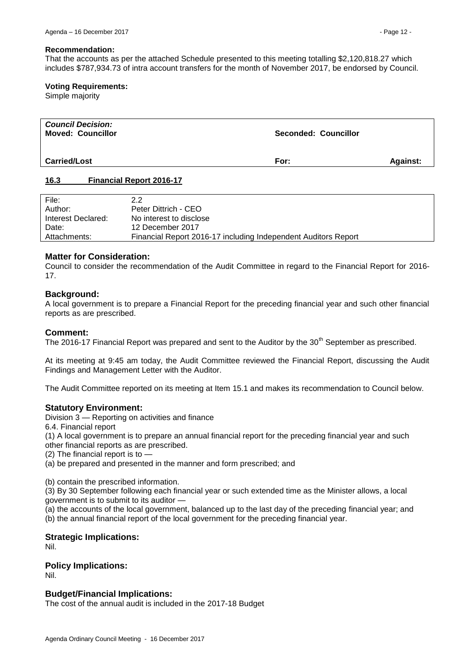#### **Recommendation:**

That the accounts as per the attached Schedule presented to this meeting totalling \$2,120,818.27 which includes \$787,934.73 of intra account transfers for the month of November 2017, be endorsed by Council.

#### **Voting Requirements:**

Simple majority

| <b>Council Decision:</b><br><b>Moved: Councillor</b> | Seconded: Councillor |                 |
|------------------------------------------------------|----------------------|-----------------|
| <b>Carried/Lost</b>                                  | For:                 | <b>Against:</b> |

#### <span id="page-11-0"></span>**16.3 Financial Report 2016-17**

| File:              | 2.2                                                            |
|--------------------|----------------------------------------------------------------|
| Author:            | Peter Dittrich - CEO                                           |
| Interest Declared: | No interest to disclose                                        |
| Date:              | 12 December 2017                                               |
| Attachments:       | Financial Report 2016-17 including Independent Auditors Report |

#### **Matter for Consideration:**

Council to consider the recommendation of the Audit Committee in regard to the Financial Report for 2016- 17.

#### **Background:**

A local government is to prepare a Financial Report for the preceding financial year and such other financial reports as are prescribed.

#### **Comment:**

The 2016-17 Financial Report was prepared and sent to the Auditor by the 30<sup>th</sup> September as prescribed.

At its meeting at 9:45 am today, the Audit Committee reviewed the Financial Report, discussing the Audit Findings and Management Letter with the Auditor.

The Audit Committee reported on its meeting at Item 15.1 and makes its recommendation to Council below.

#### **Statutory Environment:**

Division 3 — Reporting on activities and finance

6.4. Financial report

(1) A local government is to prepare an annual financial report for the preceding financial year and such other financial reports as are prescribed.

(2) The financial report is to  $\overline{\phantom{a}}$ 

(a) be prepared and presented in the manner and form prescribed; and

(b) contain the prescribed information.

(3) By 30 September following each financial year or such extended time as the Minister allows, a local government is to submit to its auditor —

(a) the accounts of the local government, balanced up to the last day of the preceding financial year; and (b) the annual financial report of the local government for the preceding financial year.

#### **Strategic Implications:**

Nil.

#### **Policy Implications:**

Nil.

#### **Budget/Financial Implications:**

The cost of the annual audit is included in the 2017-18 Budget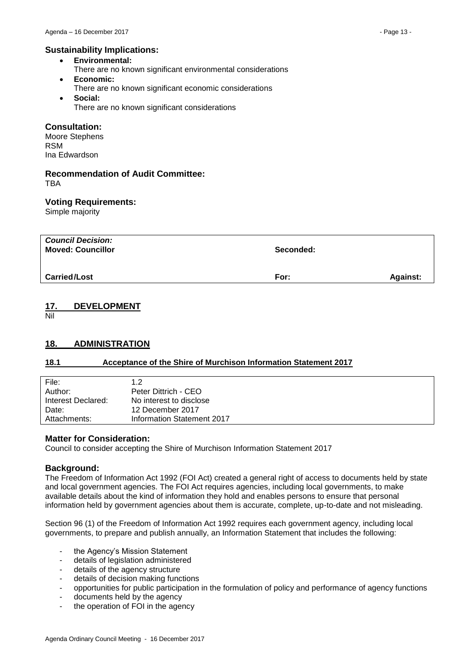- **Environmental:**
- There are no known significant environmental considerations
- **Economic:** There are no known significant economic considerations
- **Social:** There are no known significant considerations

## **Consultation:**

Moore Stephens RSM Ina Edwardson

#### **Recommendation of Audit Committee:** TBA

## **Voting Requirements:**

Simple majority

| Seconded: |                 |
|-----------|-----------------|
| For:      | <b>Against:</b> |
|           |                 |

## <span id="page-12-0"></span>**17. DEVELOPMENT**

Nil

# <span id="page-12-1"></span>**18. ADMINISTRATION**

## <span id="page-12-2"></span>**18.1 Acceptance of the Shire of Murchison Information Statement 2017**

| File:<br>Author:   | 1.2<br>Peter Dittrich - CEO |
|--------------------|-----------------------------|
| Interest Declared: | No interest to disclose     |
| Date:              | 12 December 2017            |
| Attachments:       | Information Statement 2017  |

## **Matter for Consideration:**

Council to consider accepting the Shire of Murchison Information Statement 2017

## **Background:**

The Freedom of Information Act 1992 (FOI Act) created a general right of access to documents held by state and local government agencies. The FOI Act requires agencies, including local governments, to make available details about the kind of information they hold and enables persons to ensure that personal information held by government agencies about them is accurate, complete, up-to-date and not misleading.

Section 96 (1) of the Freedom of Information Act 1992 requires each government agency, including local governments, to prepare and publish annually, an Information Statement that includes the following:

- the Agency's Mission Statement
- details of legislation administered
- details of the agency structure
- details of decision making functions
- opportunities for public participation in the formulation of policy and performance of agency functions
- documents held by the agency
- the operation of FOI in the agency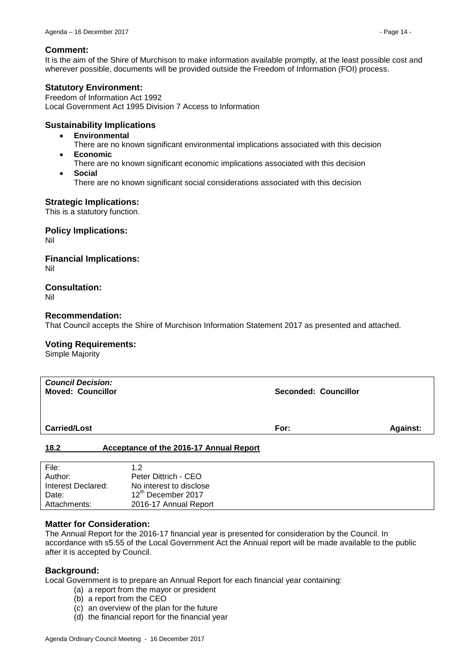#### **Comment:**

It is the aim of the Shire of Murchison to make information available promptly, at the least possible cost and wherever possible, documents will be provided outside the Freedom of Information (FOI) process.

#### **Statutory Environment:**

Freedom of Information Act 1992 Local Government Act 1995 Division 7 Access to Information

#### **Sustainability Implications**

- **Environmental**
	- There are no known significant environmental implications associated with this decision
- **Economic**
	- There are no known significant economic implications associated with this decision
- **Social** There are no known significant social considerations associated with this decision

## **Strategic Implications:**

This is a statutory function.

**Policy Implications:**

Nil

# **Financial Implications:**

Nil

## **Consultation:**

Nil

#### **Recommendation:**

That Council accepts the Shire of Murchison Information Statement 2017 as presented and attached.

#### **Voting Requirements:**

Simple Majority

| <b>Council Decision:</b><br><b>Moved: Councillor</b> |                                         | <b>Seconded: Councillor</b> |          |
|------------------------------------------------------|-----------------------------------------|-----------------------------|----------|
| <b>Carried/Lost</b>                                  |                                         | For:                        | Against: |
| 18.2                                                 | Acceptance of the 2016-17 Annual Report |                             |          |
| Files.                                               | $\sim$                                  |                             |          |

<span id="page-13-0"></span>

| 1.2                            |
|--------------------------------|
| Peter Dittrich - CEO           |
| No interest to disclose        |
| 12 <sup>th</sup> December 2017 |
| 2016-17 Annual Report          |
|                                |

## **Matter for Consideration:**

The Annual Report for the 2016-17 financial year is presented for consideration by the Council. In accordance with s5.55 of the Local Government Act the Annual report will be made available to the public after it is accepted by Council.

## **Background:**

Local Government is to prepare an Annual Report for each financial year containing:

- (a) a report from the mayor or president
- (b) a report from the CEO
- (c) an overview of the plan for the future
- (d) the financial report for the financial year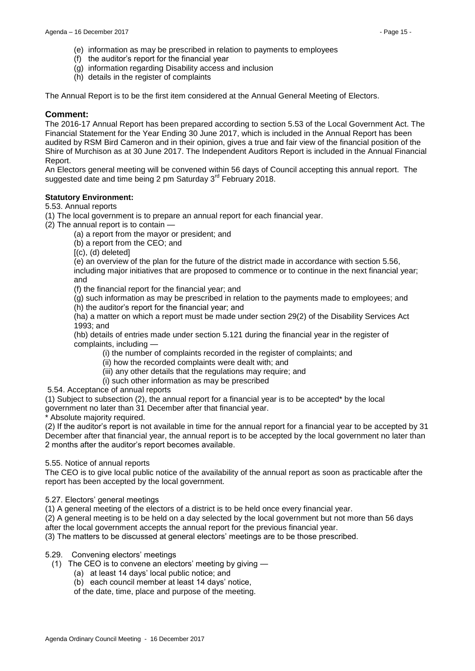- (e) information as may be prescribed in relation to payments to employees
- (f) the auditor's report for the financial year
- (g) information regarding Disability access and inclusion
- (h) details in the register of complaints

The Annual Report is to be the first item considered at the Annual General Meeting of Electors.

#### **Comment:**

The 2016-17 Annual Report has been prepared according to section 5.53 of the Local Government Act. The Financial Statement for the Year Ending 30 June 2017, which is included in the Annual Report has been audited by RSM Bird Cameron and in their opinion, gives a true and fair view of the financial position of the Shire of Murchison as at 30 June 2017. The Independent Auditors Report is included in the Annual Financial Report.

An Electors general meeting will be convened within 56 days of Council accepting this annual report. The suggested date and time being 2 pm Saturday 3<sup>rd</sup> February 2018.

## **Statutory Environment:**

#### 5.53. Annual reports

(1) The local government is to prepare an annual report for each financial year.

(2) The annual report is to contain —

(a) a report from the mayor or president; and

(b) a report from the CEO; and

 $[(c), (d)$  deleted]

(e) an overview of the plan for the future of the district made in accordance with section 5.56, including major initiatives that are proposed to commence or to continue in the next financial year; and

(f) the financial report for the financial year; and

(g) such information as may be prescribed in relation to the payments made to employees; and

(h) the auditor's report for the financial year; and

(ha) a matter on which a report must be made under section 29(2) of the Disability Services Act 1993; and

(hb) details of entries made under section 5.121 during the financial year in the register of complaints, including —

(i) the number of complaints recorded in the register of complaints; and

(ii) how the recorded complaints were dealt with; and

(iii) any other details that the regulations may require; and

(i) such other information as may be prescribed

5.54. Acceptance of annual reports

(1) Subject to subsection (2), the annual report for a financial year is to be accepted\* by the local government no later than 31 December after that financial year.

Absolute majority required.

(2) If the auditor's report is not available in time for the annual report for a financial year to be accepted by 31 December after that financial year, the annual report is to be accepted by the local government no later than 2 months after the auditor's report becomes available.

#### 5.55. Notice of annual reports

The CEO is to give local public notice of the availability of the annual report as soon as practicable after the report has been accepted by the local government.

#### 5.27. Electors' general meetings

(1) A general meeting of the electors of a district is to be held once every financial year.

(2) A general meeting is to be held on a day selected by the local government but not more than 56 days after the local government accepts the annual report for the previous financial year.

(3) The matters to be discussed at general electors' meetings are to be those prescribed.

## 5.29. Convening electors' meetings

- (1) The CEO is to convene an electors' meeting by giving
	- (a) at least 14 days' local public notice; and
	- (b) each council member at least 14 days' notice,

of the date, time, place and purpose of the meeting.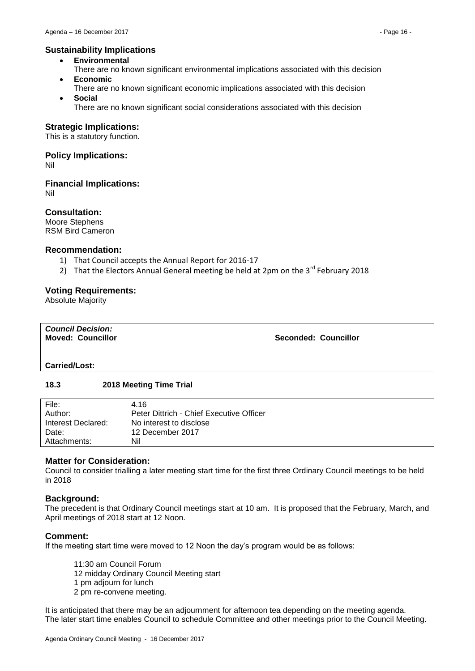## **Sustainability Implications**

- **Environmental**
- There are no known significant environmental implications associated with this decision **Economic**
- There are no known significant economic implications associated with this decision **Social**
	- There are no known significant social considerations associated with this decision

## **Strategic Implications:**

This is a statutory function.

# **Policy Implications:**

Nil

# **Financial Implications:**

Nil

## **Consultation:**

Moore Stephens RSM Bird Cameron

## **Recommendation:**

- 1) That Council accepts the Annual Report for 2016-17
- 2) That the Electors Annual General meeting be held at 2pm on the  $3^{rd}$  February 2018

## **Voting Requirements:**

Absolute Majority

| <b>Council Decision:</b> |                             |
|--------------------------|-----------------------------|
| <b>Moved: Councillor</b> | <b>Seconded: Councillor</b> |
|                          |                             |

#### **Carried/Lost:**

## <span id="page-15-0"></span>**18.3 2018 Meeting Time Trial**

| File:              | 4.16                                     |
|--------------------|------------------------------------------|
| Author:            | Peter Dittrich - Chief Executive Officer |
| Interest Declared: | No interest to disclose                  |
| Date:              | 12 December 2017                         |
| Attachments:       | Nil                                      |

# **Matter for Consideration:**

Council to consider trialling a later meeting start time for the first three Ordinary Council meetings to be held in 2018

## **Background:**

The precedent is that Ordinary Council meetings start at 10 am. It is proposed that the February, March, and April meetings of 2018 start at 12 Noon.

## **Comment:**

If the meeting start time were moved to 12 Noon the day's program would be as follows:

11:30 am Council Forum 12 midday Ordinary Council Meeting start 1 pm adjourn for lunch 2 pm re-convene meeting.

It is anticipated that there may be an adjournment for afternoon tea depending on the meeting agenda. The later start time enables Council to schedule Committee and other meetings prior to the Council Meeting.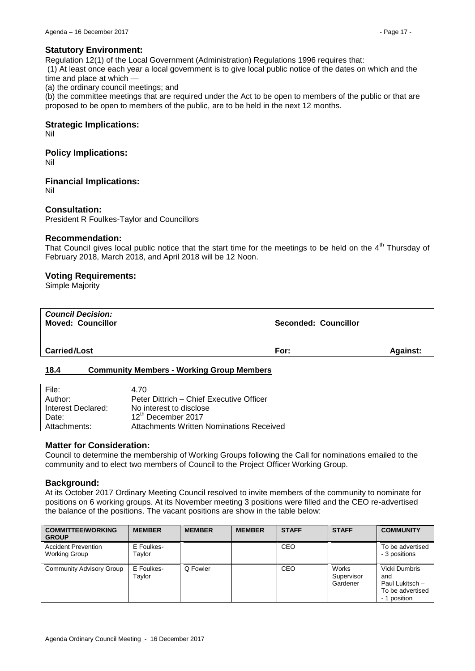## **Statutory Environment:**

Regulation 12(1) of the Local Government (Administration) Regulations 1996 requires that:

(1) At least once each year a local government is to give local public notice of the dates on which and the time and place at which -

(a) the ordinary council meetings; and

(b) the committee meetings that are required under the Act to be open to members of the public or that are proposed to be open to members of the public, are to be held in the next 12 months.

## **Strategic Implications:**

Nil

## **Policy Implications:**

Nil

**Financial Implications:**

Nil

## **Consultation:**

President R Foulkes-Taylor and Councillors

## **Recommendation:**

That Council gives local public notice that the start time for the meetings to be held on the  $4<sup>th</sup>$  Thursday of February 2018, March 2018, and April 2018 will be 12 Noon.

## **Voting Requirements:**

Simple Majority

| <b>Seconded: Councillor</b> |
|-----------------------------|
| <b>Against:</b>             |
| For:                        |

## <span id="page-16-0"></span>**18.4 Community Members - Working Group Members**

| File:              | 4.70                                     |
|--------------------|------------------------------------------|
| Author:            | Peter Dittrich – Chief Executive Officer |
| Interest Declared: | No interest to disclose                  |
| Date:              | $12^{\text{th}}$ December 2017           |
| Attachments:       | Attachments Written Nominations Received |

## **Matter for Consideration:**

Council to determine the membership of Working Groups following the Call for nominations emailed to the community and to elect two members of Council to the Project Officer Working Group.

## **Background:**

At its October 2017 Ordinary Meeting Council resolved to invite members of the community to nominate for positions on 6 working groups. At its November meeting 3 positions were filled and the CEO re-advertised the balance of the positions. The vacant positions are show in the table below:

| <b>COMMITTEE/WORKING</b><br><b>GROUP</b>    | <b>MEMBER</b>        | <b>MEMBER</b> | <b>MEMBER</b> | <b>STAFF</b> | <b>STAFF</b>                    | <b>COMMUNITY</b>                                                            |
|---------------------------------------------|----------------------|---------------|---------------|--------------|---------------------------------|-----------------------------------------------------------------------------|
| <b>Accident Prevention</b><br>Working Group | E Foulkes-<br>Taylor |               |               | CEO          |                                 | To be advertised<br>- 3 positions                                           |
| <b>Community Advisory Group</b>             | E Foulkes-<br>Tavlor | Q Fowler      |               | CEO          | Works<br>Supervisor<br>Gardener | Vicki Dumbris<br>and<br>Paul Lukitsch -<br>To be advertised<br>- 1 position |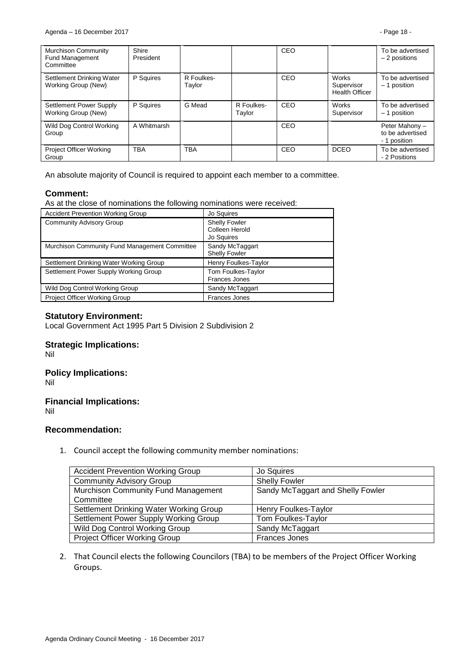| <b>Murchison Community</b><br><b>Fund Management</b><br>Committee | Shire<br>President |                      |                      | CEO |                                                     | To be advertised<br>$-2$ positions                 |
|-------------------------------------------------------------------|--------------------|----------------------|----------------------|-----|-----------------------------------------------------|----------------------------------------------------|
| Settlement Drinking Water<br>Working Group (New)                  | P Squires          | R Foulkes-<br>Taylor |                      | CEO | <b>Works</b><br>Supervisor<br><b>Health Officer</b> | To be advertised<br>$-1$ position                  |
| Settlement Power Supply<br>Working Group (New)                    | P Squires          | G Mead               | R Foulkes-<br>Taylor | CEO | <b>Works</b><br>Supervisor                          | To be advertised<br>- 1 position                   |
| Wild Dog Control Working<br>Group                                 | A Whitmarsh        |                      |                      | CEO |                                                     | Peter Mahony -<br>to be advertised<br>- 1 position |
| Project Officer Working<br>Group                                  | <b>TBA</b>         | <b>TBA</b>           |                      | CEO | <b>DCEO</b>                                         | To be advertised<br>- 2 Positions                  |

An absolute majority of Council is required to appoint each member to a committee.

## **Comment:**

As at the close of nominations the following nominations were received:

| <b>Accident Prevention Working Group</b>      | Jo Squires                                           |
|-----------------------------------------------|------------------------------------------------------|
| <b>Community Advisory Group</b>               | <b>Shelly Fowler</b><br>Colleen Herold<br>Jo Squires |
| Murchison Community Fund Management Committee | Sandy McTaggart<br><b>Shelly Fowler</b>              |
| Settlement Drinking Water Working Group       | Henry Foulkes-Taylor                                 |
| Settlement Power Supply Working Group         | Tom Foulkes-Taylor<br><b>Frances Jones</b>           |
| Wild Dog Control Working Group                | Sandy McTaggart                                      |
| Project Officer Working Group                 | <b>Frances Jones</b>                                 |

## **Statutory Environment:**

Local Government Act 1995 Part 5 Division 2 Subdivision 2

## **Strategic Implications:**

Nil

## **Policy Implications:**

Nil

## **Financial Implications:**

Nil

## **Recommendation:**

1. Council accept the following community member nominations:

| <b>Accident Prevention Working Group</b> | Jo Squires                        |
|------------------------------------------|-----------------------------------|
| <b>Community Advisory Group</b>          | <b>Shelly Fowler</b>              |
| Murchison Community Fund Management      | Sandy McTaggart and Shelly Fowler |
| Committee                                |                                   |
| Settlement Drinking Water Working Group  | Henry Foulkes-Taylor              |
| Settlement Power Supply Working Group    | Tom Foulkes-Taylor                |
| Wild Dog Control Working Group           | Sandy McTaggart                   |
| <b>Project Officer Working Group</b>     | <b>Frances Jones</b>              |

2. That Council elects the following Councilors (TBA) to be members of the Project Officer Working Groups.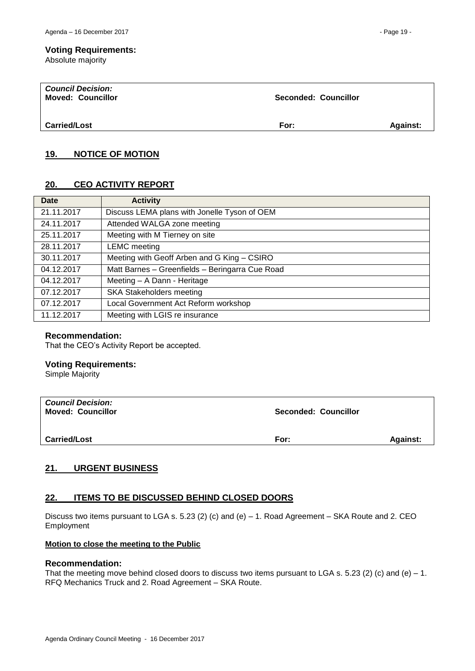#### **Voting Requirements:**

Absolute majority

| <b>Council Decision:</b><br><b>Moved: Councillor</b> | Seconded: Councillor |                 |
|------------------------------------------------------|----------------------|-----------------|
| <b>Carried/Lost</b>                                  | For:                 | <b>Against:</b> |

# <span id="page-18-0"></span>**19. NOTICE OF MOTION**

# <span id="page-18-1"></span>**20. CEO ACTIVITY REPORT**

| <b>Date</b> | <b>Activity</b>                                 |
|-------------|-------------------------------------------------|
| 21.11.2017  | Discuss LEMA plans with Jonelle Tyson of OEM    |
| 24.11.2017  | Attended WALGA zone meeting                     |
| 25.11.2017  | Meeting with M Tierney on site                  |
| 28.11.2017  | <b>LEMC</b> meeting                             |
| 30.11.2017  | Meeting with Geoff Arben and G King - CSIRO     |
| 04.12.2017  | Matt Barnes - Greenfields - Beringarra Cue Road |
| 04.12.2017  | Meeting - A Dann - Heritage                     |
| 07.12.2017  | <b>SKA Stakeholders meeting</b>                 |
| 07.12.2017  | Local Government Act Reform workshop            |
| 11.12.2017  | Meeting with LGIS re insurance                  |

## **Recommendation:**

That the CEO's Activity Report be accepted.

## **Voting Requirements:**

Simple Majority

| <b>Council Decision:</b><br><b>Moved: Councillor</b> | Seconded: Councillor |                 |
|------------------------------------------------------|----------------------|-----------------|
| <b>Carried/Lost</b>                                  | For:                 | <b>Against:</b> |

## <span id="page-18-2"></span>**21. URGENT BUSINESS**

## <span id="page-18-3"></span>**22. ITEMS TO BE DISCUSSED BEHIND CLOSED DOORS**

Discuss two items pursuant to LGA s. 5.23 (2) (c) and (e) – 1. Road Agreement – SKA Route and 2. CEO Employment

## **Motion to close the meeting to the Public**

#### **Recommendation:**

That the meeting move behind closed doors to discuss two items pursuant to LGA s. 5.23 (2) (c) and (e) – 1. RFQ Mechanics Truck and 2. Road Agreement – SKA Route.